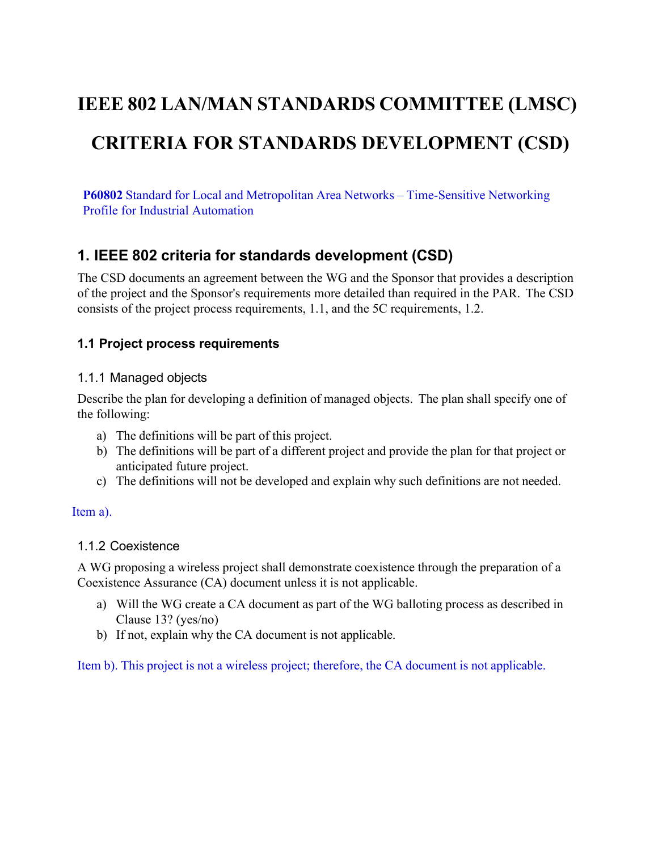# **IEEE 802 LAN/MAN STANDARDS COMMITTEE (LMSC) CRITERIA FOR STANDARDS DEVELOPMENT (CSD)**

**P60802** Standard for Local and Metropolitan Area Networks – Time-Sensitive Networking Profile for Industrial Automation

# **1. IEEE 802 criteria for standards development (CSD)**

The CSD documents an agreement between the WG and the Sponsor that provides a description of the project and the Sponsor's requirements more detailed than required in the PAR. The CSD consists of the project process requirements, [1.1,](#page-0-0) and the 5C requirements, [1.2.](#page-1-0)

# <span id="page-0-0"></span>**1.1 Project process requirements**

#### 1.1.1 Managed objects

Describe the plan for developing a definition of managed objects. The plan shall specify one of the following:

- a) The definitions will be part of this project.
- b) The definitions will be part of a different project and provide the plan for that project or anticipated future project.
- c) The definitions will not be developed and explain why such definitions are not needed.

#### Item a).

# 1.1.2 Coexistence

A WG proposing a wireless project shall demonstrate coexistence through the preparation of a Coexistence Assurance (CA) document unless it is not applicable.

- a) Will the WG create a CA document as part of the WG balloting process as described in Clause 13? (yes/no)
- b) If not, explain why the CA document is not applicable.

Item b). This project is not a wireless project; therefore, the CA document is not applicable.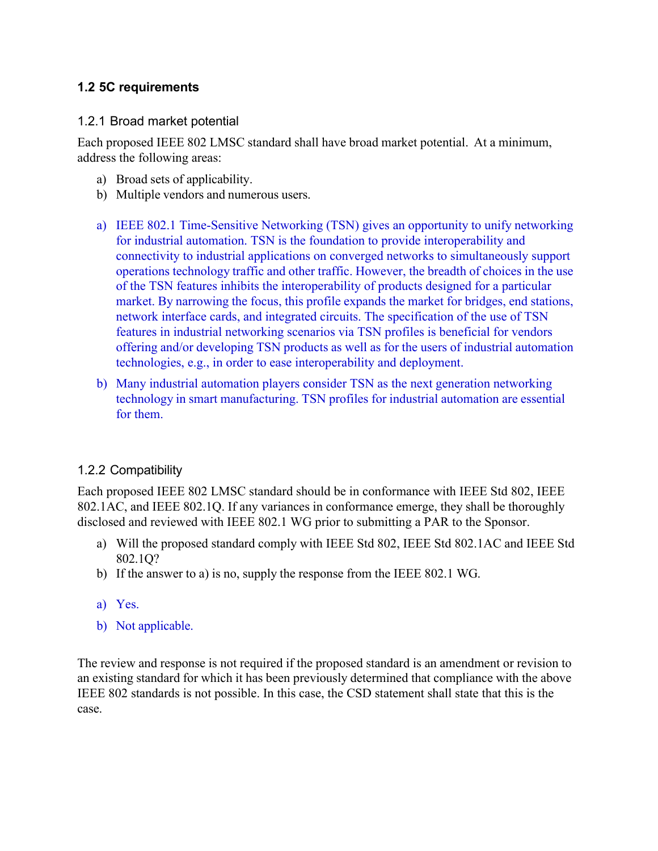# <span id="page-1-0"></span>**1.2 5C requirements**

#### 1.2.1 Broad market potential

Each proposed IEEE 802 LMSC standard shall have broad market potential. At a minimum, address the following areas:

- a) Broad sets of applicability.
- b) Multiple vendors and numerous users.
- a) IEEE 802.1 Time-Sensitive Networking (TSN) gives an opportunity to unify networking for industrial automation. TSN is the foundation to provide interoperability and connectivity to industrial applications on converged networks to simultaneously support operations technology traffic and other traffic. However, the breadth of choices in the use of the TSN features inhibits the interoperability of products designed for a particular market. By narrowing the focus, this profile expands the market for bridges, end stations, network interface cards, and integrated circuits. The specification of the use of TSN features in industrial networking scenarios via TSN profiles is beneficial for vendors offering and/or developing TSN products as well as for the users of industrial automation technologies, e.g., in order to ease interoperability and deployment.
- b) Many industrial automation players consider TSN as the next generation networking technology in smart manufacturing. TSN profiles for industrial automation are essential for them.

# 1.2.2 Compatibility

Each proposed IEEE 802 LMSC standard should be in conformance with IEEE Std 802, IEEE 802.1AC, and IEEE 802.1Q. If any variances in conformance emerge, they shall be thoroughly disclosed and reviewed with IEEE 802.1 WG prior to submitting a PAR to the Sponsor.

- a) Will the proposed standard comply with IEEE Std 802, IEEE Std 802.1AC and IEEE Std 802.1Q?
- b) If the answer to a) is no, supply the response from the IEEE 802.1 WG.
- a) Yes.
- b) Not applicable.

The review and response is not required if the proposed standard is an amendment or revision to an existing standard for which it has been previously determined that compliance with the above IEEE 802 standards is not possible. In this case, the CSD statement shall state that this is the case.